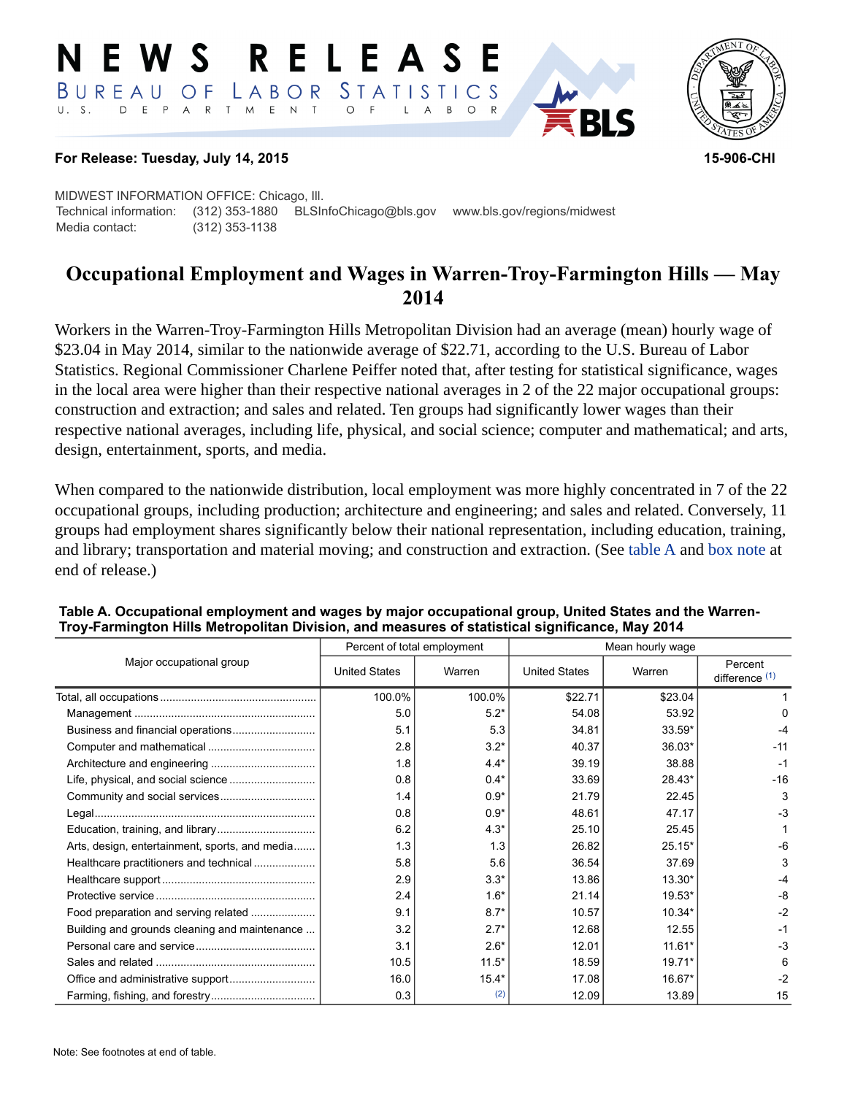#### RELEASE EWS LABOR STATISTICS BUREAU OF D E P A R T M E N T  $U. S.$  $\circ$  $\overline{A}$ B  $\circ$  $\mathsf{L}$



### **For Release: Tuesday, July 14, 2015 15-906-CHI**

MIDWEST INFORMATION OFFICE: Chicago, Ill. Technical information: (312) 353-1880 BLSInfoChicago@bls.gov www.bls.gov/regions/midwest Media contact: (312) 353-1138

# **Occupational Employment and Wages in Warren-Troy-Farmington Hills — May 2014**

Workers in the Warren-Troy-Farmington Hills Metropolitan Division had an average (mean) hourly wage of \$23.04 in May 2014, similar to the nationwide average of \$22.71, according to the U.S. Bureau of Labor Statistics. Regional Commissioner Charlene Peiffer noted that, after testing for statistical significance, wages in the local area were higher than their respective national averages in 2 of the 22 major occupational groups: construction and extraction; and sales and related. Ten groups had significantly lower wages than their respective national averages, including life, physical, and social science; computer and mathematical; and arts, design, entertainment, sports, and media.

When compared to the nationwide distribution, local employment was more highly concentrated in 7 of the 22 occupational groups, including production; architecture and engineering; and sales and related. Conversely, 11 groups had employment shares significantly below their national representation, including education, training, and library; transportation and material moving; and construction and extraction. (See table A and [box note](#page-2-0) at end of release.)

|                                                |                      | Percent of total employment | Mean hourly wage     |          |                                      |
|------------------------------------------------|----------------------|-----------------------------|----------------------|----------|--------------------------------------|
| Major occupational group                       | <b>United States</b> | Warren                      | <b>United States</b> | Warren   | Percent<br>difference <sup>(1)</sup> |
|                                                | 100.0%               | 100.0%                      | \$22.71              | \$23.04  |                                      |
|                                                | 5.0                  | $5.2*$                      | 54.08                | 53.92    | 0                                    |
|                                                | 5.1                  | 5.3                         | 34.81                | 33.59*   | -4                                   |
|                                                | 2.8                  | $3.2*$                      | 40.37                | 36.03*   | $-11$                                |
|                                                | 1.8                  | $4.4*$                      | 39.19                | 38.88    | $-1$                                 |
|                                                | 0.8                  | $0.4*$                      | 33.69                | 28.43*   | $-16$                                |
|                                                | 1.4                  | $0.9*$                      | 21.79                | 22.45    | 3                                    |
|                                                | 0.8                  | $0.9*$                      | 48.61                | 47.17    | $-3$                                 |
|                                                | 6.2                  | $4.3*$                      | 25.10                | 25.45    |                                      |
| Arts, design, entertainment, sports, and media | 1.3                  | 1.3                         | 26.82                | $25.15*$ | $-6$                                 |
| Healthcare practitioners and technical         | 5.8                  | 5.6                         | 36.54                | 37.69    | 3                                    |
|                                                | 2.9                  | $3.3*$                      | 13.86                | 13.30*   | -4                                   |
|                                                | 2.4                  | $1.6*$                      | 21.14                | $19.53*$ | $-8$                                 |
| Food preparation and serving related           | 9.1                  | $8.7*$                      | 10.57                | 10.34*   | $-2$                                 |
| Building and grounds cleaning and maintenance  | 3.2                  | $2.7*$                      | 12.68                | 12.55    | $-1$                                 |
|                                                | 3.1                  | $2.6*$                      | 12.01                | $11.61*$ | $-3$                                 |
|                                                | 10.5                 | $11.5*$                     | 18.59                | $19.71*$ | 6                                    |
|                                                | 16.0                 | $15.4*$                     | 17.08                | 16.67*   | $-2$                                 |
|                                                | 0.3                  | (2)                         | 12.09                | 13.89    | 15                                   |

#### **Table A. Occupational employment and wages by major occupational group, United States and the Warren-Troy-Farmington Hills Metropolitan Division, and measures of statistical significance, May 2014**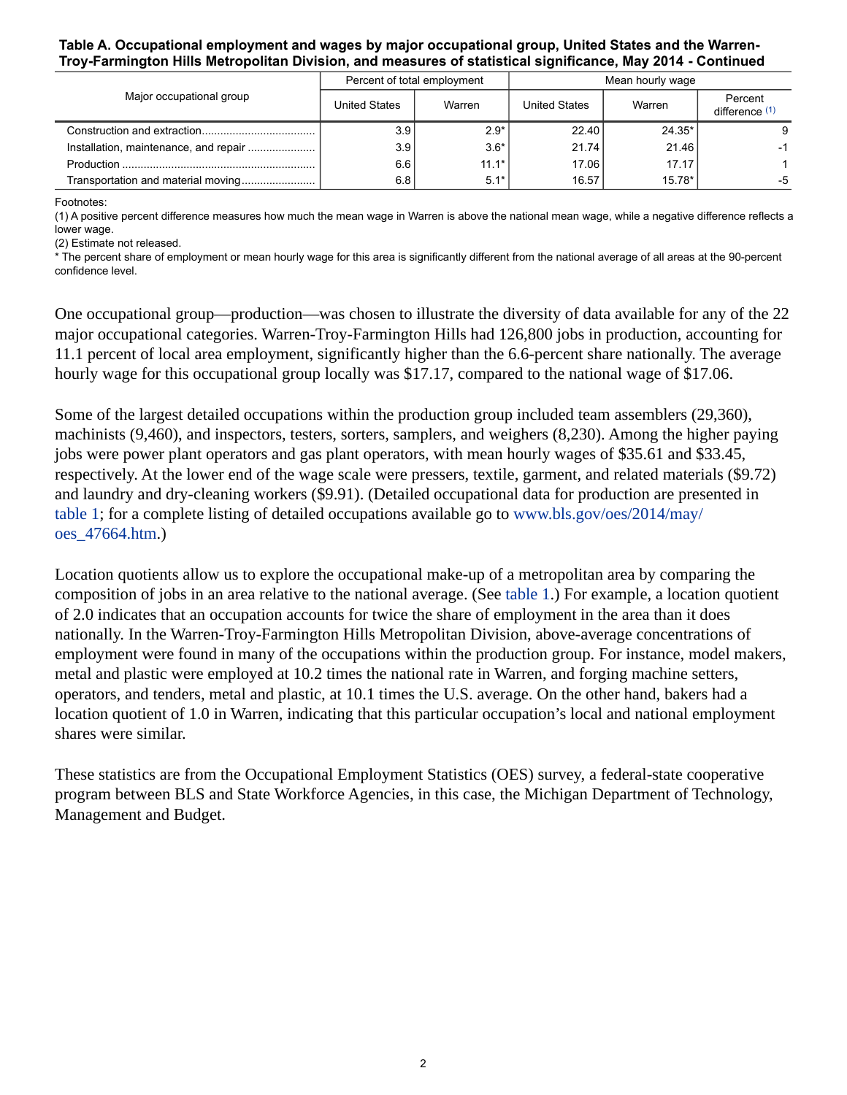#### **Table A. Occupational employment and wages by major occupational group, United States and the Warren-Troy-Farmington Hills Metropolitan Division, and measures of statistical significance, May 2014 - Continued**

|                          |                      | Percent of total employment | Mean hourly wage     |          |                           |
|--------------------------|----------------------|-----------------------------|----------------------|----------|---------------------------|
| Major occupational group | <b>United States</b> | Warren                      | <b>United States</b> | Warren   | Percent<br>difference (1) |
|                          | 3.9                  | $2.9*$                      | 22.40                | $24.35*$ | 9                         |
|                          | 3.9                  | $3.6*$                      | 21.74                | 21.46    | $-1$                      |
|                          | 6.6                  | $11.1*$                     | 17.06                | 17.17    |                           |
|                          | 6.8                  | $5.1*$                      | 16.57                | $15.78*$ | -5                        |

<span id="page-1-0"></span>Footnotes:

(1) A positive percent difference measures how much the mean wage in Warren is above the national mean wage, while a negative difference reflects a lower wage.

(2) Estimate not released.

\* The percent share of employment or mean hourly wage for this area is significantly different from the national average of all areas at the 90-percent confidence level.

One occupational group—production—was chosen to illustrate the diversity of data available for any of the 22 major occupational categories. Warren-Troy-Farmington Hills had 126,800 jobs in production, accounting for 11.1 percent of local area employment, significantly higher than the 6.6-percent share nationally. The average hourly wage for this occupational group locally was \$17.17, compared to the national wage of \$17.06.

Some of the largest detailed occupations within the production group included team assemblers (29,360), machinists (9,460), and inspectors, testers, sorters, samplers, and weighers (8,230). Among the higher paying jobs were power plant operators and gas plant operators, with mean hourly wages of \$35.61 and \$33.45, respectively. At the lower end of the wage scale were pressers, textile, garment, and related materials (\$9.72) and laundry and dry-cleaning workers (\$9.91). (Detailed occupational data for production are presented in table 1; for a complete listing of detailed occupations available go to [www.bls.gov/oes/2014/may/](https://www.bls.gov/oes/2014/may/oes_47664.htm) [oes\\_47664.htm](https://www.bls.gov/oes/2014/may/oes_47664.htm).)

Location quotients allow us to explore the occupational make-up of a metropolitan area by comparing the composition of jobs in an area relative to the national average. (See table 1.) For example, a location quotient of 2.0 indicates that an occupation accounts for twice the share of employment in the area than it does nationally. In the Warren-Troy-Farmington Hills Metropolitan Division, above-average concentrations of employment were found in many of the occupations within the production group. For instance, model makers, metal and plastic were employed at 10.2 times the national rate in Warren, and forging machine setters, operators, and tenders, metal and plastic, at 10.1 times the U.S. average. On the other hand, bakers had a location quotient of 1.0 in Warren, indicating that this particular occupation's local and national employment shares were similar.

These statistics are from the Occupational Employment Statistics (OES) survey, a federal-state cooperative program between BLS and State Workforce Agencies, in this case, the Michigan Department of Technology, Management and Budget.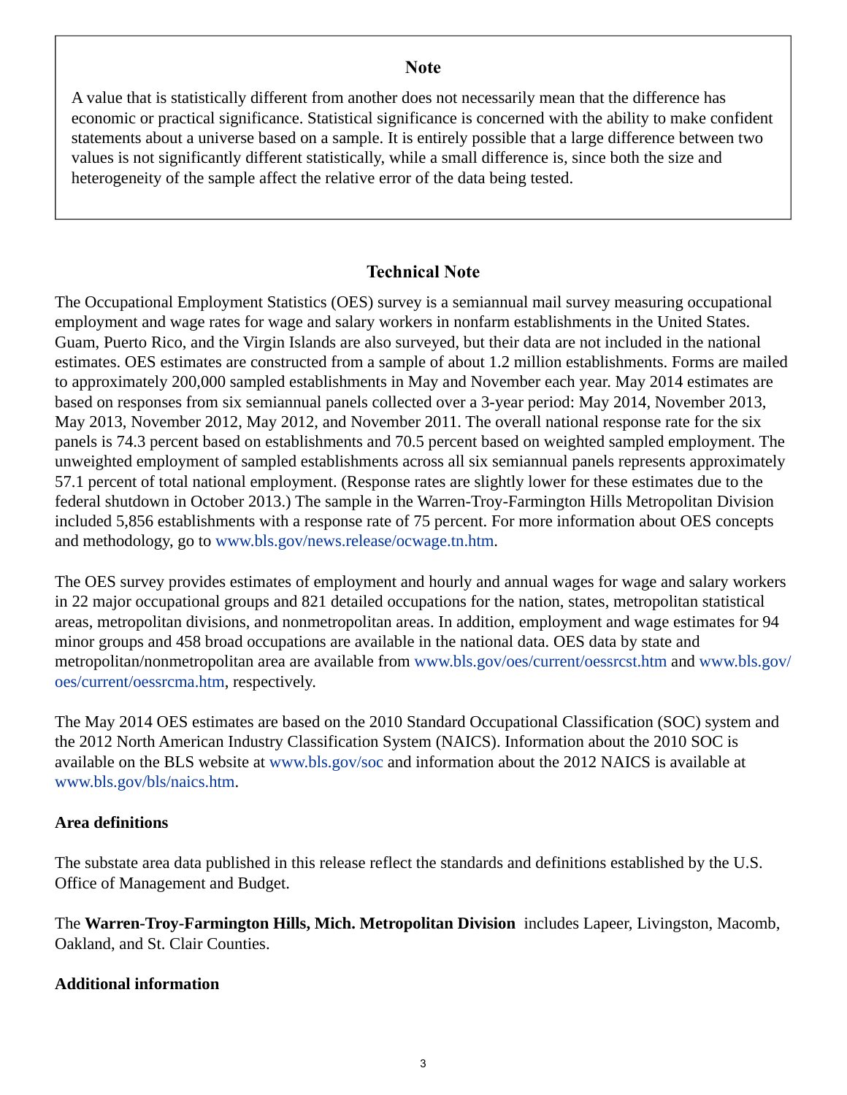### **Note**

<span id="page-2-0"></span>A value that is statistically different from another does not necessarily mean that the difference has economic or practical significance. Statistical significance is concerned with the ability to make confident statements about a universe based on a sample. It is entirely possible that a large difference between two values is not significantly different statistically, while a small difference is, since both the size and heterogeneity of the sample affect the relative error of the data being tested.

## **Technical Note**

The Occupational Employment Statistics (OES) survey is a semiannual mail survey measuring occupational employment and wage rates for wage and salary workers in nonfarm establishments in the United States. Guam, Puerto Rico, and the Virgin Islands are also surveyed, but their data are not included in the national estimates. OES estimates are constructed from a sample of about 1.2 million establishments. Forms are mailed to approximately 200,000 sampled establishments in May and November each year. May 2014 estimates are based on responses from six semiannual panels collected over a 3-year period: May 2014, November 2013, May 2013, November 2012, May 2012, and November 2011. The overall national response rate for the six panels is 74.3 percent based on establishments and 70.5 percent based on weighted sampled employment. The unweighted employment of sampled establishments across all six semiannual panels represents approximately 57.1 percent of total national employment. (Response rates are slightly lower for these estimates due to the federal shutdown in October 2013.) The sample in the Warren-Troy-Farmington Hills Metropolitan Division included 5,856 establishments with a response rate of 75 percent. For more information about OES concepts and methodology, go to [www.bls.gov/news.release/ocwage.tn.htm](https://www.bls.gov/news.release/ocwage.tn.htm).

The OES survey provides estimates of employment and hourly and annual wages for wage and salary workers in 22 major occupational groups and 821 detailed occupations for the nation, states, metropolitan statistical areas, metropolitan divisions, and nonmetropolitan areas. In addition, employment and wage estimates for 94 minor groups and 458 broad occupations are available in the national data. OES data by state and metropolitan/nonmetropolitan area are available from [www.bls.gov/oes/current/oessrcst.htm](https://www.bls.gov/oes/current/oessrcst.htm) and [www.bls.gov/](https://www.bls.gov/oes/current/oessrcma.htm) [oes/current/oessrcma.htm,](https://www.bls.gov/oes/current/oessrcma.htm) respectively.

The May 2014 OES estimates are based on the 2010 Standard Occupational Classification (SOC) system and the 2012 North American Industry Classification System (NAICS). Information about the 2010 SOC is available on the BLS website at [www.bls.gov/soc](https://www.bls.gov/soc) and information about the 2012 NAICS is available at [www.bls.gov/bls/naics.htm.](https://www.bls.gov/bls/naics.htm)

### **Area definitions**

The substate area data published in this release reflect the standards and definitions established by the U.S. Office of Management and Budget.

The **Warren-Troy-Farmington Hills, Mich. Metropolitan Division** includes Lapeer, Livingston, Macomb, Oakland, and St. Clair Counties.

### **Additional information**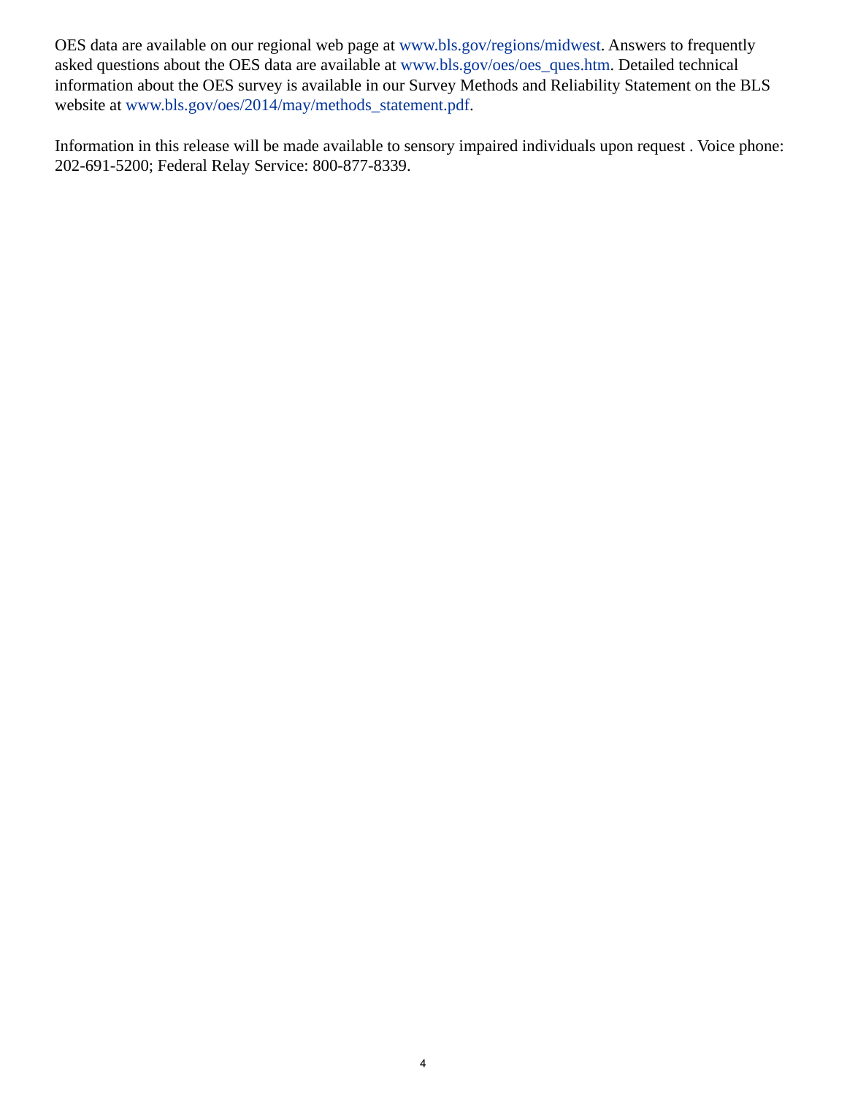OES data are available on our regional web page at [www.bls.gov/regions/midwest](https://www.bls.gov/regions/midwest). Answers to frequently asked questions about the OES data are available at [www.bls.gov/oes/oes\\_ques.htm](https://www.bls.gov/oes/oes_ques.htm). Detailed technical information about the OES survey is available in our Survey Methods and Reliability Statement on the BLS website at [www.bls.gov/oes/2014/may/methods\\_statement.pdf.](https://www.bls.gov/oes/2014/may/methods_statement.pdf)

Information in this release will be made available to sensory impaired individuals upon request . Voice phone: 202-691-5200; Federal Relay Service: 800-877-8339.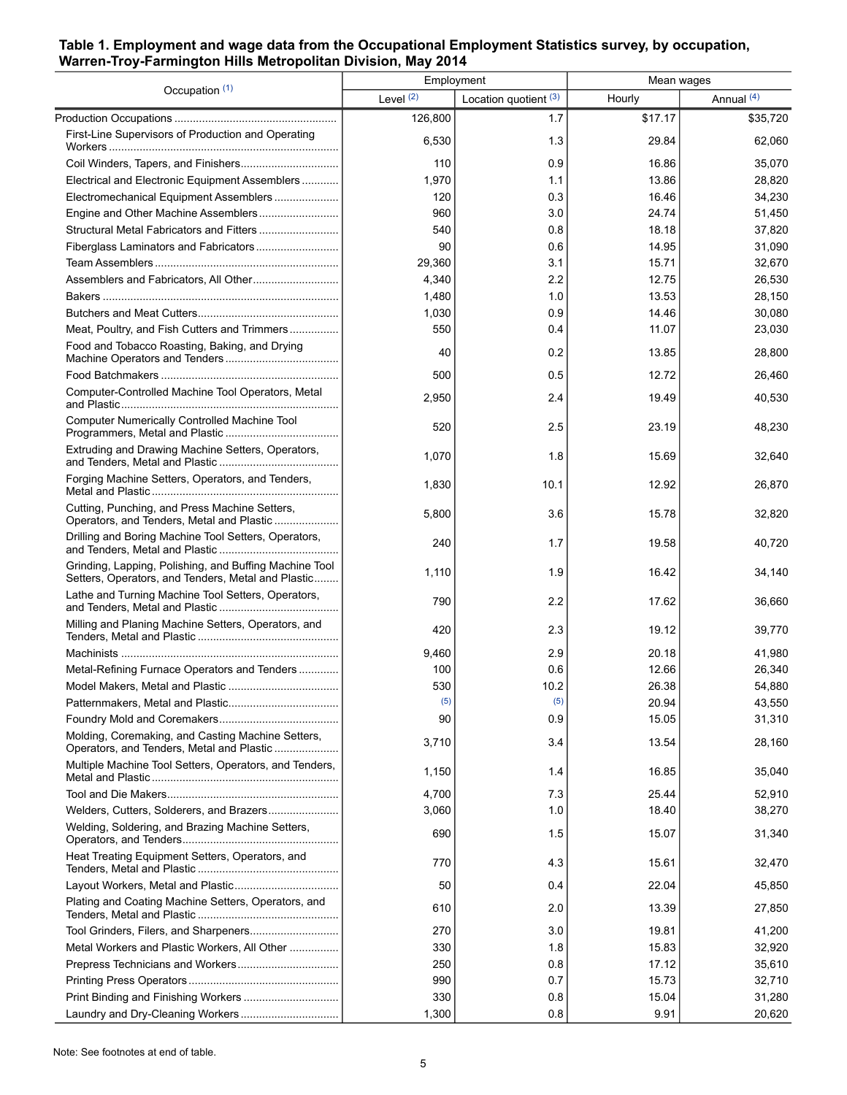### **Table 1. Employment and wage data from the Occupational Employment Statistics survey, by occupation, Warren-Troy-Farmington Hills Metropolitan Division, May 2014**

| Occupation (1)                                                                                               | Employment |                       | Mean wages |            |
|--------------------------------------------------------------------------------------------------------------|------------|-----------------------|------------|------------|
|                                                                                                              | Level (2)  | Location quotient (3) | Hourly     | Annual (4) |
|                                                                                                              | 126,800    | 1.7                   | \$17.17    | \$35,720   |
| First-Line Supervisors of Production and Operating                                                           | 6,530      | 1.3                   | 29.84      | 62,060     |
|                                                                                                              | 110        | 0.9                   | 16.86      | 35,070     |
| Electrical and Electronic Equipment Assemblers                                                               | 1,970      | 1.1                   | 13.86      | 28,820     |
| Electromechanical Equipment Assemblers                                                                       | 120        | 0.3                   | 16.46      | 34,230     |
|                                                                                                              | 960        | 3.0                   | 24.74      | 51,450     |
|                                                                                                              | 540        | 0.8                   | 18.18      | 37,820     |
|                                                                                                              | 90         | 0.6                   | 14.95      | 31,090     |
|                                                                                                              | 29,360     | 3.1                   | 15.71      | 32,670     |
|                                                                                                              | 4,340      | 2.2                   | 12.75      | 26,530     |
|                                                                                                              | 1,480      | 1.0                   | 13.53      | 28,150     |
|                                                                                                              | 1,030      | 0.9                   | 14.46      | 30,080     |
| Meat, Poultry, and Fish Cutters and Trimmers                                                                 | 550        | 0.4                   | 11.07      | 23,030     |
| Food and Tobacco Roasting, Baking, and Drying                                                                | 40         | 0.2                   | 13.85      | 28,800     |
|                                                                                                              | 500        | 0.5                   | 12.72      | 26,460     |
| Computer-Controlled Machine Tool Operators, Metal                                                            | 2,950      | 2.4                   | 19.49      | 40,530     |
| Computer Numerically Controlled Machine Tool                                                                 | 520        | 2.5                   | 23.19      | 48,230     |
| Extruding and Drawing Machine Setters, Operators,                                                            | 1,070      | 1.8                   | 15.69      | 32,640     |
| Forging Machine Setters, Operators, and Tenders,                                                             | 1,830      | 10.1                  | 12.92      | 26,870     |
| Cutting, Punching, and Press Machine Setters,<br>Operators, and Tenders, Metal and Plastic                   | 5,800      | 3.6                   | 15.78      | 32,820     |
| Drilling and Boring Machine Tool Setters, Operators,                                                         | 240        | 1.7                   | 19.58      | 40,720     |
| Grinding, Lapping, Polishing, and Buffing Machine Tool<br>Setters, Operators, and Tenders, Metal and Plastic | 1,110      | 1.9                   | 16.42      | 34,140     |
| Lathe and Turning Machine Tool Setters, Operators,                                                           | 790        | 2.2                   | 17.62      | 36,660     |
| Milling and Planing Machine Setters, Operators, and                                                          | 420        | 2.3                   | 19.12      | 39,770     |
|                                                                                                              | 9,460      | 2.9                   | 20.18      | 41,980     |
| Metal-Refining Furnace Operators and Tenders                                                                 | 100        | 0.6                   | 12.66      | 26,340     |
|                                                                                                              | 530        | 10.2                  | 26.38      | 54,880     |
|                                                                                                              | (5)        | (5)                   | 20.94      | 43,550     |
|                                                                                                              | 90         | 0.9                   | 15.05      | 31,310     |
| Molding, Coremaking, and Casting Machine Setters,<br>Operators, and Tenders, Metal and Plastic               | 3,710      | 3.4                   | 13.54      | 28,160     |
| Multiple Machine Tool Setters, Operators, and Tenders,                                                       | 1,150      | 1.4                   | 16.85      | 35,040     |
|                                                                                                              | 4,700      | 7.3                   | 25.44      | 52,910     |
| Welders, Cutters, Solderers, and Brazers                                                                     | 3,060      | 1.0                   | 18.40      | 38,270     |
| Welding, Soldering, and Brazing Machine Setters,                                                             | 690        | 1.5                   | 15.07      | 31,340     |
| Heat Treating Equipment Setters, Operators, and                                                              | 770        | 4.3                   | 15.61      | 32,470     |
|                                                                                                              | 50         | 0.4                   | 22.04      | 45,850     |
| Plating and Coating Machine Setters, Operators, and                                                          | 610        | 2.0                   | 13.39      | 27,850     |
|                                                                                                              | 270        | 3.0                   | 19.81      | 41,200     |
| Metal Workers and Plastic Workers, All Other                                                                 | 330        | 1.8                   | 15.83      | 32,920     |
|                                                                                                              | 250        | 0.8                   | 17.12      | 35,610     |
|                                                                                                              | 990        | 0.7                   | 15.73      | 32,710     |
|                                                                                                              | 330        | 0.8                   | 15.04      | 31,280     |
| Laundry and Dry-Cleaning Workers                                                                             | 1,300      | 0.8                   | 9.91       | 20,620     |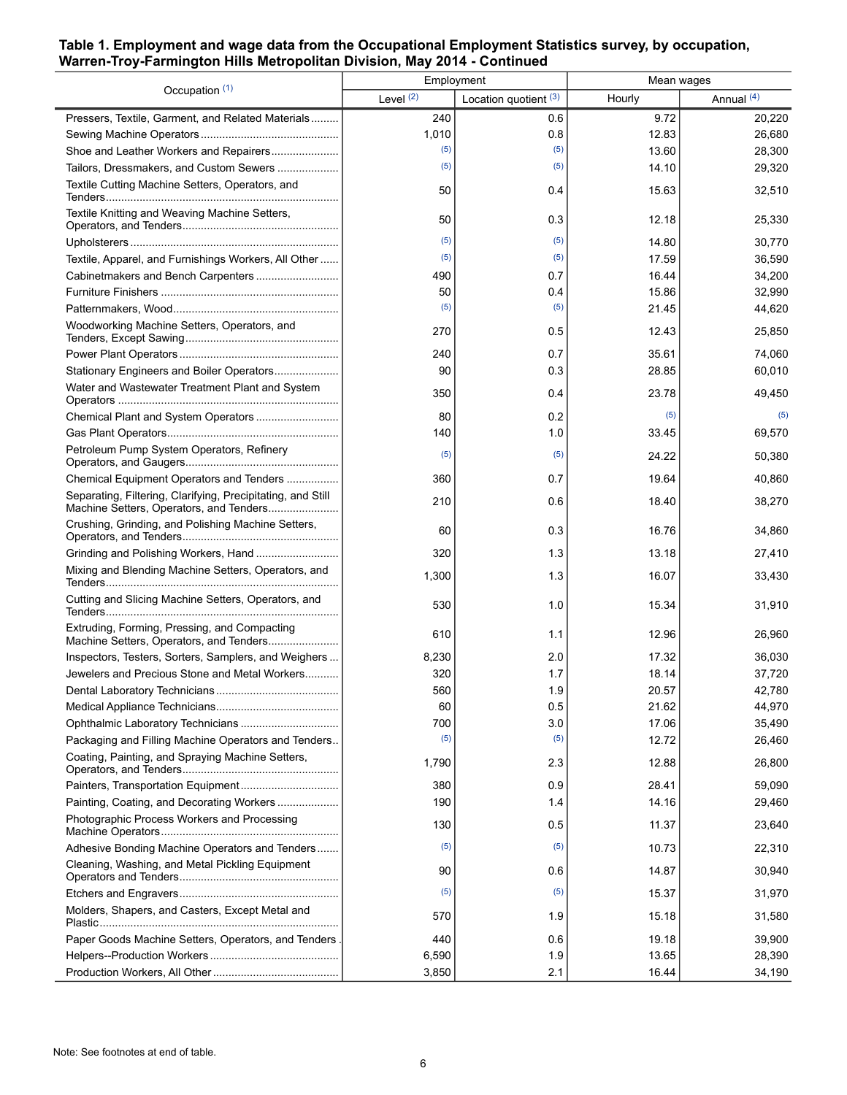#### **Table 1. Employment and wage data from the Occupational Employment Statistics survey, by occupation, Warren-Troy-Farmington Hills Metropolitan Division, May 2014 - Continued**

| Occupation (1)                                                                                         | Employment  |                         | Mean wages |              |
|--------------------------------------------------------------------------------------------------------|-------------|-------------------------|------------|--------------|
|                                                                                                        | Level $(2)$ | Location quotient $(3)$ | Hourly     | Annual $(4)$ |
| Pressers, Textile, Garment, and Related Materials                                                      | 240         | 0.6                     | 9.72       | 20,220       |
|                                                                                                        | 1,010       | 0.8                     | 12.83      | 26,680       |
| Shoe and Leather Workers and Repairers                                                                 | (5)         | (5)                     | 13.60      | 28,300       |
| Tailors, Dressmakers, and Custom Sewers                                                                | (5)         | (5)                     | 14.10      | 29,320       |
| Textile Cutting Machine Setters, Operators, and                                                        | 50          | 0.4                     | 15.63      | 32,510       |
| Textile Knitting and Weaving Machine Setters,                                                          | 50          | 0.3                     | 12.18      | 25,330       |
|                                                                                                        | (5)         | (5)                     | 14.80      | 30,770       |
| Textile, Apparel, and Furnishings Workers, All Other                                                   | (5)         | (5)                     | 17.59      | 36,590       |
| Cabinetmakers and Bench Carpenters                                                                     | 490         | 0.7                     | 16.44      | 34,200       |
|                                                                                                        | 50          | 0.4                     | 15.86      | 32,990       |
|                                                                                                        | (5)         | (5)                     | 21.45      | 44,620       |
| Woodworking Machine Setters, Operators, and                                                            | 270         | 0.5                     | 12.43      | 25,850       |
|                                                                                                        | 240         | 0.7                     | 35.61      | 74,060       |
| Stationary Engineers and Boiler Operators                                                              | 90          | 0.3                     | 28.85      | 60,010       |
| Water and Wastewater Treatment Plant and System                                                        | 350         | 0.4                     | 23.78      | 49,450       |
|                                                                                                        | 80          | 0.2                     | (5)        | (5)          |
|                                                                                                        | 140         | 1.0                     | 33.45      | 69,570       |
| Petroleum Pump System Operators, Refinery                                                              | (5)         | (5)                     | 24.22      | 50,380       |
| Chemical Equipment Operators and Tenders                                                               | 360         | 0.7                     | 19.64      | 40,860       |
| Separating, Filtering, Clarifying, Precipitating, and Still<br>Machine Setters, Operators, and Tenders | 210         | 0.6                     | 18.40      | 38,270       |
| Crushing, Grinding, and Polishing Machine Setters,                                                     | 60          | 0.3                     | 16.76      | 34,860       |
|                                                                                                        | 320         | 1.3                     | 13.18      | 27,410       |
| Mixing and Blending Machine Setters, Operators, and                                                    | 1,300       | 1.3                     | 16.07      | 33,430       |
| Cutting and Slicing Machine Setters, Operators, and                                                    | 530         | 1.0                     | 15.34      | 31,910       |
| Extruding, Forming, Pressing, and Compacting<br>Machine Setters, Operators, and Tenders                | 610         | 1.1                     | 12.96      | 26,960       |
| Inspectors, Testers, Sorters, Samplers, and Weighers                                                   | 8,230       | 2.0                     | 17.32      | 36,030       |
| Jewelers and Precious Stone and Metal Workers                                                          | 320         | 1.7                     | 18.14      | 37,720       |
|                                                                                                        | 560         | 1.9                     | 20.57      | 42,780       |
|                                                                                                        | 60          | 0.5                     | 21.62      | 44,970       |
| Ophthalmic Laboratory Technicians                                                                      | 700         | 3.0                     | 17.06      | 35,490       |
| Packaging and Filling Machine Operators and Tenders                                                    | (5)         | (5)                     | 12.72      | 26,460       |
| Coating, Painting, and Spraying Machine Setters,                                                       | 1,790       | 2.3                     | 12.88      | 26,800       |
|                                                                                                        | 380         | 0.9                     | 28.41      | 59,090       |
| Painting, Coating, and Decorating Workers                                                              | 190         | 1.4                     | 14.16      | 29,460       |
| Photographic Process Workers and Processing                                                            | 130         | 0.5                     | 11.37      | 23,640       |
| Adhesive Bonding Machine Operators and Tenders                                                         | (5)         | (5)                     | 10.73      | 22,310       |
| Cleaning, Washing, and Metal Pickling Equipment                                                        | 90          | 0.6                     | 14.87      | 30,940       |
|                                                                                                        | (5)         | (5)                     | 15.37      | 31,970       |
| Molders, Shapers, and Casters, Except Metal and                                                        | 570         | 1.9                     | 15.18      | 31,580       |
| Paper Goods Machine Setters, Operators, and Tenders                                                    | 440         | 0.6                     | 19.18      | 39,900       |
|                                                                                                        | 6,590       | 1.9                     | 13.65      | 28,390       |
|                                                                                                        | 3,850       | 2.1                     | 16.44      | 34,190       |